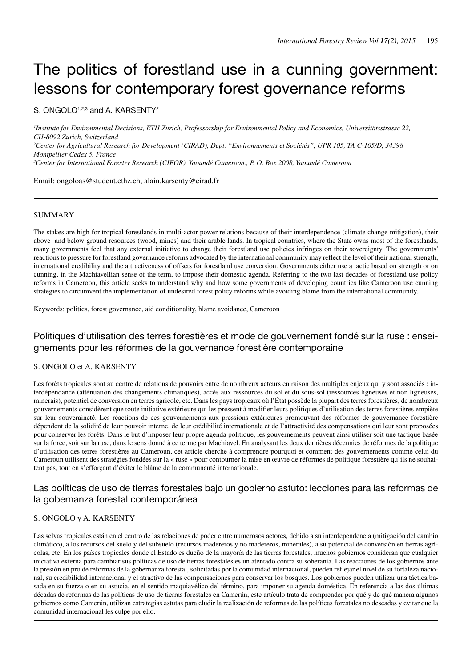# The politics of forestland use in a cunning government: lessons for contemporary forest governance reforms

S. ONGOLO<sup>1,2,3</sup> and A. KARSENTY<sup>2</sup>

*1 Institute for Environmental Decisions, ETH Zurich, Professorship for Environmental Policy and Economics, Universitätsstrasse 22, CH-8092 Zurich, Switzerland 2 Center for Agricultural Research for Development (CIRAD), Dept. "Environnements et Sociétés", UPR 105, TA C-105/D, 34398 Montpellier Cedex 5, France 3 Center for International Forestry Research (CIFOR), Yaoundé Cameroon., P. O. Box 2008, Yaoundé Cameroon*

Email: ongoloas@student.ethz.ch, alain.karsenty@cirad.fr

### SUMMARY

The stakes are high for tropical forestlands in multi-actor power relations because of their interdependence (climate change mitigation), their above- and below-ground resources (wood, mines) and their arable lands. In tropical countries, where the State owns most of the forestlands, many governments feel that any external initiative to change their forestland use policies infringes on their sovereignty. The governments' reactions to pressure for forestland governance reforms advocated by the international community may reflect the level of their national strength, international credibility and the attractiveness of offsets for forestland use conversion. Governments either use a tactic based on strength or on cunning, in the Machiavellian sense of the term, to impose their domestic agenda. Referring to the two last decades of forestland use policy reforms in Cameroon, this article seeks to understand why and how some governments of developing countries like Cameroon use cunning strategies to circumvent the implementation of undesired forest policy reforms while avoiding blame from the international community.

Keywords: politics, forest governance, aid conditionality, blame avoidance, Cameroon

# Politiques d'utilisation des terres forestières et mode de gouvernement fondé sur la ruse : enseignements pour les réformes de la gouvernance forestière contemporaine

## S. ONGOLO et A. KARSENTY

Les forêts tropicales sont au centre de relations de pouvoirs entre de nombreux acteurs en raison des multiples enjeux qui y sont associés : interdépendance (atténuation des changements climatiques), accès aux ressources du sol et du sous-sol (ressources ligneuses et non ligneuses, minerais), potentiel de conversion en terres agricole, etc. Dans les pays tropicaux où l'État possède la plupart des terres forestières, de nombreux gouvernements considèrent que toute initiative extérieure qui les pressent à modifier leurs politiques d'utilisation des terres forestières empiète sur leur souveraineté. Les réactions de ces gouvernements aux pressions extérieures promouvant des réformes de gouvernance forestière dépendent de la solidité de leur pouvoir interne, de leur crédibilité internationale et de l'attractivité des compensations qui leur sont proposées pour conserver les forêts. Dans le but d'imposer leur propre agenda politique, les gouvernements peuvent ainsi utiliser soit une tactique basée sur la force, soit sur la ruse, dans le sens donné à ce terme par Machiavel. En analysant les deux dernières décennies de réformes de la politique d'utilisation des terres forestières au Cameroun, cet article cherche à comprendre pourquoi et comment des gouvernements comme celui du Cameroun utilisent des stratégies fondées sur la « ruse » pour contourner la mise en œuvre de réformes de politique forestière qu'ils ne souhaitent pas, tout en s'efforçant d'éviter le blâme de la communauté internationale.

# Las políticas de uso de tierras forestales bajo un gobierno astuto: lecciones para las reformas de la gobernanza forestal contemporánea

## S. ONGOLO y A. KARSENTY

Las selvas tropicales están en el centro de las relaciones de poder entre numerosos actores, debido a su interdependencia (mitigación del cambio climático), a los recursos del suelo y del subsuelo (recursos madereros y no madereros, minerales), a su potencial de conversión en tierras agrícolas, etc. En los países tropicales donde el Estado es dueño de la mayoría de las tierras forestales, muchos gobiernos consideran que cualquier iniciativa externa para cambiar sus políticas de uso de tierras forestales es un atentado contra su soberanía. Las reacciones de los gobiernos ante la presión en pro de reformas de la gobernanza forestal, solicitadas por la comunidad internacional, pueden reflejar el nivel de su fortaleza nacional, su credibilidad internacional y el atractivo de las compensaciones para conservar los bosques. Los gobiernos pueden utilizar una táctica basada en su fuerza o en su astucia, en el sentido maquiavélico del término, para imponer su agenda doméstica. En referencia a las dos últimas décadas de reformas de las políticas de uso de tierras forestales en Camerún, este artículo trata de comprender por qué y de qué manera algunos gobiernos como Camerún, utilizan estrategias astutas para eludir la realización de reformas de las políticas forestales no deseadas y evitar que la comunidad internacional les culpe por ello.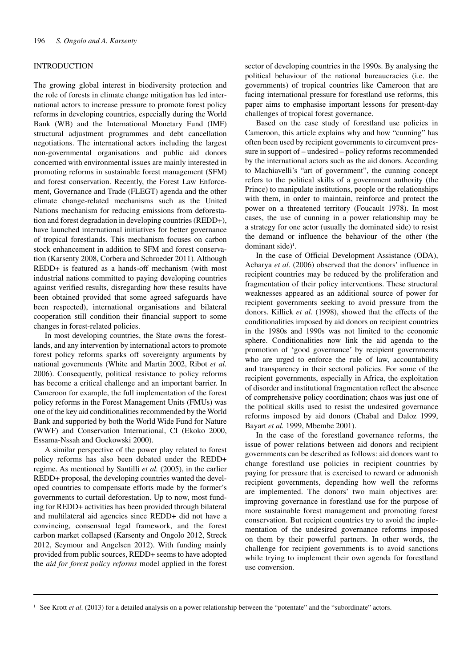## **INTRODUCTION**

The growing global interest in biodiversity protection and the role of forests in climate change mitigation has led international actors to increase pressure to promote forest policy reforms in developing countries, especially during the World Bank (WB) and the International Monetary Fund (IMF) structural adjustment programmes and debt cancellation negotiations. The international actors including the largest non-governmental organisations and public aid donors concerned with environmental issues are mainly interested in promoting reforms in sustainable forest management (SFM) and forest conservation. Recently, the Forest Law Enforcement, Governance and Trade (FLEGT) agenda and the other climate change-related mechanisms such as the United Nations mechanism for reducing emissions from deforestation and forest degradation in developing countries (REDD+), have launched international initiatives for better governance of tropical forestlands. This mechanism focuses on carbon stock enhancement in addition to SFM and forest conservation (Karsenty 2008, Corbera and Schroeder 2011)*.* Although REDD+ is featured as a hands-off mechanism (with most industrial nations committed to paying developing countries against verified results, disregarding how these results have been obtained provided that some agreed safeguards have been respected), international organisations and bilateral cooperation still condition their financial support to some changes in forest-related policies.

In most developing countries, the State owns the forestlands, and any intervention by international actors to promote forest policy reforms sparks off sovereignty arguments by national governments (White and Martin 2002, Ribot *et al.* 2006). Consequently, political resistance to policy reforms has become a critical challenge and an important barrier. In Cameroon for example, the full implementation of the forest policy reforms in the Forest Management Units (FMUs) was one of the key aid conditionalities recommended by the World Bank and supported by both the World Wide Fund for Nature (WWF) and Conservation International, CI (Ekoko 2000, Essama-Nssah and Gockowski 2000).

A similar perspective of the power play related to forest policy reforms has also been debated under the REDD+ regime. As mentioned by Santilli *et al.* (2005), in the earlier REDD+ proposal, the developing countries wanted the developed countries to compensate efforts made by the former's governments to curtail deforestation. Up to now, most funding for REDD+ activities has been provided through bilateral and multilateral aid agencies since REDD+ did not have a convincing, consensual legal framework, and the forest carbon market collapsed (Karsenty and Ongolo 2012, Streck 2012, Seymour and Angelsen 2012). With funding mainly provided from public sources, REDD+ seems to have adopted the *aid for forest policy reforms* model applied in the forest sector of developing countries in the 1990s. By analysing the political behaviour of the national bureaucracies (i.e. the governments) of tropical countries like Cameroon that are facing international pressure for forestland use reforms, this paper aims to emphasise important lessons for present-day challenges of tropical forest governance.

Based on the case study of forestland use policies in Cameroon, this article explains why and how "cunning" has often been used by recipient governments to circumvent pressure in support of – undesired – policy reforms recommended by the international actors such as the aid donors. According to Machiavelli's "art of government", the cunning concept refers to the political skills of a government authority (the Prince) to manipulate institutions, people or the relationships with them, in order to maintain, reinforce and protect the power on a threatened territory (Foucault 1978). In most cases, the use of cunning in a power relationship may be a strategy for one actor (usually the dominated side) to resist the demand or influence the behaviour of the other (the  $dominant side)<sup>1</sup>$ .

In the case of Official Development Assistance (ODA), Acharya *et al.* (2006) observed that the donors' influence in recipient countries may be reduced by the proliferation and fragmentation of their policy interventions. These structural weaknesses appeared as an additional source of power for recipient governments seeking to avoid pressure from the donors. Killick *et al.* (1998), showed that the effects of the conditionalities imposed by aid donors on recipient countries in the 1980s and 1990s was not limited to the economic sphere. Conditionalities now link the aid agenda to the promotion of 'good governance' by recipient governments who are urged to enforce the rule of law, accountability and transparency in their sectoral policies. For some of the recipient governments, especially in Africa, the exploitation of disorder and institutional fragmentation reflect the absence of comprehensive policy coordination; chaos was just one of the political skills used to resist the undesired governance reforms imposed by aid donors (Chabal and Daloz 1999, Bayart *et al.* 1999, Mbembe 2001).

In the case of the forestland governance reforms, the issue of power relations between aid donors and recipient governments can be described as follows: aid donors want to change forestland use policies in recipient countries by paying for pressure that is exercised to reward or admonish recipient governments, depending how well the reforms are implemented. The donors' two main objectives are: improving governance in forestland use for the purpose of more sustainable forest management and promoting forest conservation. But recipient countries try to avoid the implementation of the undesired governance reforms imposed on them by their powerful partners. In other words, the challenge for recipient governments is to avoid sanctions while trying to implement their own agenda for forestland use conversion.

<sup>&</sup>lt;sup>1</sup> See Krott *et al.* (2013) for a detailed analysis on a power relationship between the "potentate" and the "subordinate" actors.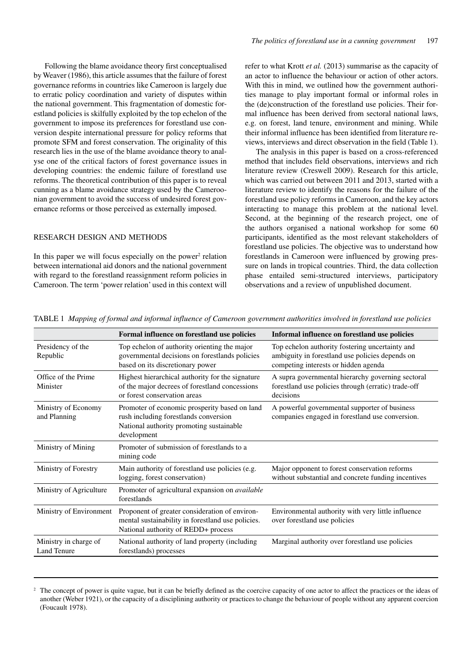Following the blame avoidance theory first conceptualised by Weaver (1986), this article assumes that the failure of forest governance reforms in countries like Cameroon is largely due to erratic policy coordination and variety of disputes within the national government. This fragmentation of domestic forestland policies is skilfully exploited by the top echelon of the government to impose its preferences for forestland use conversion despite international pressure for policy reforms that promote SFM and forest conservation. The originality of this research lies in the use of the blame avoidance theory to analyse one of the critical factors of forest governance issues in developing countries: the endemic failure of forestland use reforms. The theoretical contribution of this paper is to reveal cunning as a blame avoidance strategy used by the Cameroonian government to avoid the success of undesired forest governance reforms or those perceived as externally imposed.

### RESEARCH DESIGN AND METHODS

In this paper we will focus especially on the power<sup>2</sup> relation between international aid donors and the national government with regard to the forestland reassignment reform policies in Cameroon. The term 'power relation' used in this context will

refer to what Krott *et al.* (2013) summarise as the capacity of an actor to influence the behaviour or action of other actors. With this in mind, we outlined how the government authorities manage to play important formal or informal roles in the (de)construction of the forestland use policies. Their formal influence has been derived from sectoral national laws, e.g. on forest, land tenure, environment and mining. While their informal influence has been identified from literature reviews, interviews and direct observation in the field (Table 1).

The analysis in this paper is based on a cross-referenced method that includes field observations, interviews and rich literature review (Creswell 2009). Research for this article, which was carried out between 2011 and 2013, started with a literature review to identify the reasons for the failure of the forestland use policy reforms in Cameroon, and the key actors interacting to manage this problem at the national level. Second, at the beginning of the research project, one of the authors organised a national workshop for some 60 participants, identified as the most relevant stakeholders of forestland use policies. The objective was to understand how forestlands in Cameroon were influenced by growing pressure on lands in tropical countries. Third, the data collection phase entailed semi-structured interviews, participatory observations and a review of unpublished document.

|                                             | Formal influence on forestland use policies                                                                                                       | Informal influence on forestland use policies                                                                                              |
|---------------------------------------------|---------------------------------------------------------------------------------------------------------------------------------------------------|--------------------------------------------------------------------------------------------------------------------------------------------|
| Presidency of the<br>Republic               | Top echelon of authority orienting the major<br>governmental decisions on forestlands policies<br>based on its discretionary power                | Top echelon authority fostering uncertainty and<br>ambiguity in forestland use policies depends on<br>competing interests or hidden agenda |
| Office of the Prime<br>Minister             | Highest hierarchical authority for the signature<br>of the major decrees of forestland concessions<br>or forest conservation areas                | A supra governmental hierarchy governing sectoral<br>forestland use policies through (erratic) trade-off<br>decisions                      |
| Ministry of Economy<br>and Planning         | Promoter of economic prosperity based on land<br>rush including forestlands conversion<br>National authority promoting sustainable<br>development | A powerful governmental supporter of business<br>companies engaged in forestland use conversion.                                           |
| Ministry of Mining                          | Promoter of submission of forestlands to a<br>mining code                                                                                         |                                                                                                                                            |
| Ministry of Forestry                        | Main authority of forestland use policies (e.g.<br>logging, forest conservation)                                                                  | Major opponent to forest conservation reforms<br>without substantial and concrete funding incentives                                       |
| Ministry of Agriculture                     | Promoter of agricultural expansion on available<br>forestlands                                                                                    |                                                                                                                                            |
| Ministry of Environment                     | Proponent of greater consideration of environ-<br>mental sustainability in forestland use policies.<br>National authority of REDD+ process        | Environmental authority with very little influence<br>over forestland use policies                                                         |
| Ministry in charge of<br><b>Land Tenure</b> | National authority of land property (including<br>forestlands) processes                                                                          | Marginal authority over forestland use policies                                                                                            |

Table 1 *Mapping of formal and informal influence of Cameroon government authorities involved in forestland use policies* 

<sup>&</sup>lt;sup>2</sup> The concept of power is quite vague, but it can be briefly defined as the coercive capacity of one actor to affect the practices or the ideas of another (Weber 1921), or the capacity of a disciplining authority or practices to change the behaviour of people without any apparent coercion (Foucault 1978).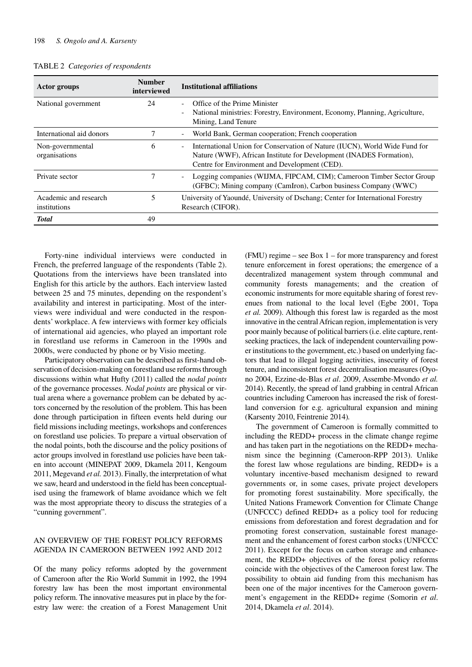| <b>Actor groups</b>                   | <b>Number</b><br>interviewed | <b>Institutional affiliations</b>                                                                                                                                                                            |
|---------------------------------------|------------------------------|--------------------------------------------------------------------------------------------------------------------------------------------------------------------------------------------------------------|
| National government                   | 24                           | Office of the Prime Minister<br>National ministries: Forestry, Environment, Economy, Planning, Agriculture,<br>$\blacksquare$<br>Mining, Land Tenure                                                         |
| International aid donors              |                              | World Bank, German cooperation; French cooperation<br>$\blacksquare$                                                                                                                                         |
| Non-governmental<br>organisations     | 6                            | International Union for Conservation of Nature (IUCN), World Wide Fund for<br>$\sim$<br>Nature (WWF), African Institute for Development (INADES Formation),<br>Centre for Environment and Development (CED). |
| Private sector                        |                              | Logging companies (WIJMA, FIPCAM, CIM); Cameroon Timber Sector Group<br>$\blacksquare$<br>(GFBC); Mining company (CamIron), Carbon business Company (WWC)                                                    |
| Academic and research<br>institutions | 5                            | University of Yaoundé, University of Dschang; Center for International Forestry<br>Research (CIFOR).                                                                                                         |
| <b>Total</b>                          | 49                           |                                                                                                                                                                                                              |

Table 2 *Categories of respondents*

Forty-nine individual interviews were conducted in French, the preferred language of the respondents (Table 2). Quotations from the interviews have been translated into English for this article by the authors. Each interview lasted between 25 and 75 minutes, depending on the respondent's availability and interest in participating. Most of the interviews were individual and were conducted in the respondents' workplace. A few interviews with former key officials of international aid agencies, who played an important role in forestland use reforms in Cameroon in the 1990s and 2000s, were conducted by phone or by Visio meeting.

Participatory observation can be described as first-hand observation of decision-making on forestland use reforms through discussions within what Hufty (2011) called the *nodal points* of the governance processes. *Nodal points* are physical or virtual arena where a governance problem can be debated by actors concerned by the resolution of the problem. This has been done through participation in fifteen events held during our field missions including meetings, workshops and conferences on forestland use policies. To prepare a virtual observation of the nodal points, both the discourse and the policy positions of actor groups involved in forestland use policies have been taken into account (MINEPAT 2009, Dkamela 2011, Kengoum 2011, Megevand *et al.* 2013). Finally, the interpretation of what we saw, heard and understood in the field has been conceptualised using the framework of blame avoidance which we felt was the most appropriate theory to discuss the strategies of a "cunning government".

## AN OVERVIEW OF THE FOREST POLICY REFORMS AGENDA IN CAMEROON BETWEEN 1992 AND 2012

Of the many policy reforms adopted by the government of Cameroon after the Rio World Summit in 1992, the 1994 forestry law has been the most important environmental policy reform. The innovative measures put in place by the forestry law were: the creation of a Forest Management Unit (FMU) regime – see Box 1 – for more transparency and forest tenure enforcement in forest operations; the emergence of a decentralized management system through communal and community forests managements; and the creation of economic instruments for more equitable sharing of forest revenues from national to the local level (Egbe 2001, Topa *et al.* 2009). Although this forest law is regarded as the most innovative in the central African region, implementation is very poor mainly because of political barriers (i.e. elite capture, rentseeking practices, the lack of independent countervailing power institutions to the government, etc.) based on underlying factors that lead to illegal logging activities, insecurity of forest tenure, and inconsistent forest decentralisation measures (Oyono 2004, Ezzine-de-Blas *et al*. 2009, Assembe-Mvondo *et al.* 2014). Recently, the spread of land grabbing in central African countries including Cameroon has increased the risk of forestland conversion for e.g. agricultural expansion and mining (Karsenty 2010, Feintrenie 2014)*.*

The government of Cameroon is formally committed to including the REDD+ process in the climate change regime and has taken part in the negotiations on the REDD+ mechanism since the beginning (Cameroon-RPP 2013). Unlike the forest law whose regulations are binding, REDD+ is a voluntary incentive-based mechanism designed to reward governments or, in some cases, private project developers for promoting forest sustainability. More specifically, the United Nations Framework Convention for Climate Change (UNFCCC) defined REDD+ as a policy tool for reducing emissions from deforestation and forest degradation and for promoting forest conservation, sustainable forest management and the enhancement of forest carbon stocks (UNFCCC 2011). Except for the focus on carbon storage and enhancement, the REDD+ objectives of the forest policy reforms coincide with the objectives of the Cameroon forest law. The possibility to obtain aid funding from this mechanism has been one of the major incentives for the Cameroon government's engagement in the REDD+ regime (Somorin *et al*. 2014, Dkamela *et al*. 2014).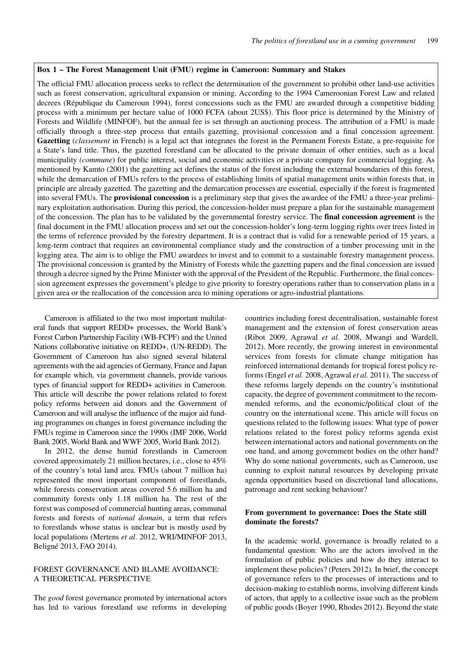#### **Box 1 – The Forest Management Unit (FMU) regime in Cameroon: Summary and Stakes**

The official FMU allocation process seeks to reflect the determination of the government to prohibit other land-use activities such as forest conservation, agricultural expansion or mining. According to the 1994 Cameroonian Forest Law and related decrees (République du Cameroun 1994), forest concessions such as the FMU are awarded through a competitive bidding process with a minimum per hectare value of 1000 FCFA (about 2US\$). This floor price is determined by the Ministry of Forests and Wildlife (MINFOF), but the annual fee is set through an auctioning process. The attribution of a FMU is made officially through a three-step process that entails gazetting, provisional concession and a final concession agreement. **Gazetting** (*classement* in French) is a legal act that integrates the forest in the Permanent Forests Estate, a pre-requisite for a State's land title. Thus, the gazetted forestland can be allocated to the private domain of other entities, such as a local municipality *(commune*) for public interest, social and economic activities or a private company for commercial logging. As mentioned by Kamto (2001) the gazetting act defines the status of the forest including the external boundaries of this forest, while the demarcation of FMUs refers to the process of establishing limits of spatial management units within forests that, in principle are already gazetted. The gazetting and the demarcation processes are essential, especially if the forest is fragmented into several FMUs. The **provisional concession** is a preliminary step that gives the awardee of the FMU a three-year preliminary exploitation authorisation. During this period, the concession-holder must prepare a plan for the sustainable management of the concession. The plan has to be validated by the governmental forestry service. The **final concession agreement** is the final document in the FMU allocation process and set out the concession-holder's long-term logging rights over trees listed in the terms of reference provided by the forestry department. It is a contract that is valid for a renewable period of 15 years, a long-term contract that requires an environmental compliance study and the construction of a timber processing unit in the logging area. The aim is to oblige the FMU awardees to invest and to commit to a sustainable forestry management process. The provisional concession is granted by the Ministry of Forests while the gazetting papers and the final concession are issued through a decree signed by the Prime Minister with the approval of the President of the Republic. Furthermore, the final concession agreement expresses the government's pledge to give priority to forestry operations rather than to conservation plans in a given area or the reallocation of the concession area to mining operations or agro-industrial plantations.

Cameroon is affiliated to the two most important multilateral funds that support REDD+ processes, the World Bank's Forest Carbon Partnership Facility (WB-FCPF) and the United Nations collaborative initiative on REDD+, (UN-REDD). The Government of Cameroon has also signed several bilateral agreements with the aid agencies of Germany, France and Japan for example which, via government channels, provide various types of financial support for REDD+ activities in Cameroon. This article will describe the power relations related to forest policy reforms between aid donors and the Government of Cameroon and will analyse the influence of the major aid funding programmes on changes in forest governance including the FMUs regime in Cameroon since the 1990s (IMF 2006, World Bank 2005, World Bank and WWF 2005, World Bank 2012).

In 2012, the dense humid forestlands in Cameroon covered approximately 21 million hectares, i.e., close to 45% of the country's total land area. FMUs (about 7 million ha) represented the most important component of forestlands, while forests conservation areas covered 5.6 million ha and community forests only 1.18 million ha. The rest of the forest was composed of commercial hunting areas, communal forests and forests of *national domain*, a term that refers to forestlands whose status is unclear but is mostly used by local populations (Mertens *et al*. 2012, WRI/MINFOF 2013, Beligné 2013, FAO 2014).

#### FOREST GOVERNANCE AND BLAME AVOIDANCE: A THEORETICAL PERSPECTIVE

The *good* forest governance promoted by international actors has led to various forestland use reforms in developing

countries including forest decentralisation, sustainable forest management and the extension of forest conservation areas (Ribot 2009, Agrawal *et al*. 2008, Mwangi and Wardell, 2012). More recently, the growing interest in environmental services from forests for climate change mitigation has reinforced international demands for tropical forest policy reforms (Engel *et al.* 2008, Agrawal *et al.* 2011). The success of these reforms largely depends on the country's institutional capacity, the degree of government commitment to the recommended reforms, and the economic/political clout of the country on the international scene. This article will focus on questions related to the following issues: What type of power relations related to the forest policy reforms agenda exist between international actors and national governments on the one hand, and among government bodies on the other hand? Why do some national governments, such as Cameroon, use cunning to exploit natural resources by developing private agenda opportunities based on discretional land allocations, patronage and rent seeking behaviour?

## **From government to governance: Does the State still dominate the forests?**

In the academic world, governance is broadly related to a fundamental question: Who are the actors involved in the formulation of public policies and how do they interact to implement these policies? (Peters 2012)*.* In brief, the concept of governance refers to the processes of interactions and to decision-making to establish norms, involving different kinds of actors, that apply to a collective issue such as the problem of public goods (Boyer 1990, Rhodes 2012). Beyond the state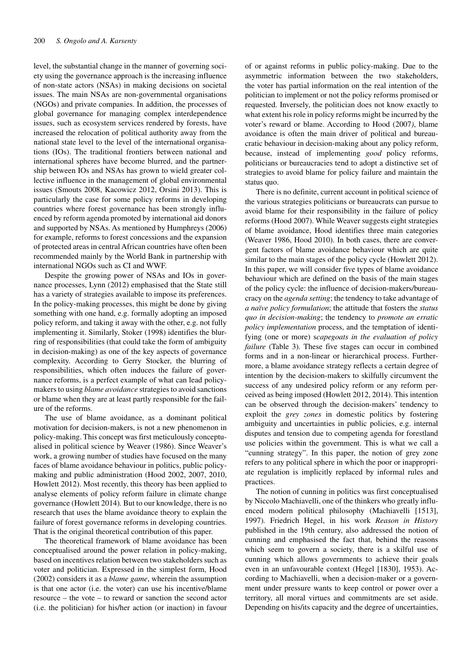level, the substantial change in the manner of governing society using the governance approach is the increasing influence of non-state actors (NSAs) in making decisions on societal issues. The main NSAs are non-governmental organisations (NGOs) and private companies. In addition, the processes of global governance for managing complex interdependence issues, such as ecosystem services rendered by forests, have increased the relocation of political authority away from the national state level to the level of the international organisations (IOs). The traditional frontiers between national and international spheres have become blurred, and the partnership between IOs and NSAs has grown to wield greater collective influence in the management of global environmental issues (Smouts 2008, Kacowicz 2012, Orsini 2013). This is particularly the case for some policy reforms in developing countries where forest governance has been strongly influenced by reform agenda promoted by international aid donors and supported by NSAs. As mentioned by Humphreys (2006) for example, reforms to forest concessions and the expansion of protected areas in central African countries have often been recommended mainly by the World Bank in partnership with international NGOs such as CI and WWF.

Despite the growing power of NSAs and IOs in governance processes, Lynn (2012) emphasised that the State still has a variety of strategies available to impose its preferences. In the policy-making processes, this might be done by giving something with one hand, e.g. formally adopting an imposed policy reform, and taking it away with the other, e.g. not fully implementing it. Similarly, Stoker (1998) identifies the blurring of responsibilities (that could take the form of ambiguity in decision-making) as one of the key aspects of governance complexity. According to Gerry Stocker, the blurring of responsibilities, which often induces the failure of governance reforms, is a perfect example of what can lead policymakers to using *blame avoidance* strategies to avoid sanctions or blame when they are at least partly responsible for the failure of the reforms.

The use of blame avoidance, as a dominant political motivation for decision-makers, is not a new phenomenon in policy-making. This concept was first meticulously conceptualised in political science by Weaver (1986). Since Weaver's work, a growing number of studies have focused on the many faces of blame avoidance behaviour in politics, public policymaking and public administration (Hood 2002, 2007, 2010, Howlett 2012). Most recently, this theory has been applied to analyse elements of policy reform failure in climate change governance (Howlett 2014)*.* But to our knowledge, there is no research that uses the blame avoidance theory to explain the failure of forest governance reforms in developing countries. That is the original theoretical contribution of this paper.

The theoretical framework of blame avoidance has been conceptualised around the power relation in policy-making, based on incentives relation between two stakeholders such as voter and politician. Expressed in the simplest form, Hood (2002) considers it as a *blame game*, wherein the assumption is that one actor (i.e. the voter) can use his incentive/blame resource – the vote – to reward or sanction the second actor (i.e. the politician) for his/her action (or inaction) in favour

of or against reforms in public policy-making. Due to the asymmetric information between the two stakeholders, the voter has partial information on the real intention of the politician to implement or not the policy reforms promised or requested. Inversely, the politician does not know exactly to what extent his role in policy reforms might be incurred by the voter's reward or blame. According to Hood (2007*)*, blame avoidance is often the main driver of political and bureaucratic behaviour in decision-making about any policy reform, because, instead of implementing *good* policy reforms, politicians or bureaucracies tend to adopt a distinctive set of strategies to avoid blame for policy failure and maintain the status quo.

There is no definite, current account in political science of the various strategies politicians or bureaucrats can pursue to avoid blame for their responsibility in the failure of policy reforms (Hood 2007). While Weaver suggests eight strategies of blame avoidance, Hood identifies three main categories (Weaver 1986, Hood 2010). In both cases, there are convergent factors of blame avoidance behaviour which are quite similar to the main stages of the policy cycle (Howlett 2012). In this paper, we will consider five types of blame avoidance behaviour which are defined on the basis of the main stages of the policy cycle: the influence of decision-makers/bureaucracy on the *agenda setting*; the tendency to take advantage of *a naïve policy formulation*; the attitude that fosters the *status quo in decision-making*; the tendency to *promote an erratic policy implementation* process, and the temptation of identifying (one or more) s*capegoats in the evaluation of policy failure* (Table 3)*.* These five stages can occur in combined forms and in a non-linear or hierarchical process. Furthermore, a blame avoidance strategy reflects a certain degree of intention by the decision-makers to skilfully circumvent the success of any undesired policy reform or any reform perceived as being imposed (Howlett 2012, 2014). This intention can be observed through the decision-makers' tendency to exploit the *grey zones* in domestic politics by fostering ambiguity and uncertainties in public policies, e.g. internal disputes and tension due to competing agenda for forestland use policies within the government. This is what we call a "cunning strategy". In this paper, the notion of grey zone refers to any political sphere in which the poor or inappropriate regulation is implicitly replaced by informal rules and practices.

The notion of cunning in politics was first conceptualised by Niccolo Machiavelli, one of the thinkers who greatly influenced modern political philosophy (Machiavelli [1513], 1997)*.* Friedrich Hegel, in his work *Reason in History* published in the 19th century, also addressed the notion of cunning and emphasised the fact that, behind the reasons which seem to govern a society, there is a skilful use of cunning which allows governments to achieve their goals even in an unfavourable context (Hegel [1830], 1953). According to Machiavelli, when a decision-maker or a government under pressure wants to keep control or power over a territory, all moral virtues and commitments are set aside. Depending on his/its capacity and the degree of uncertainties,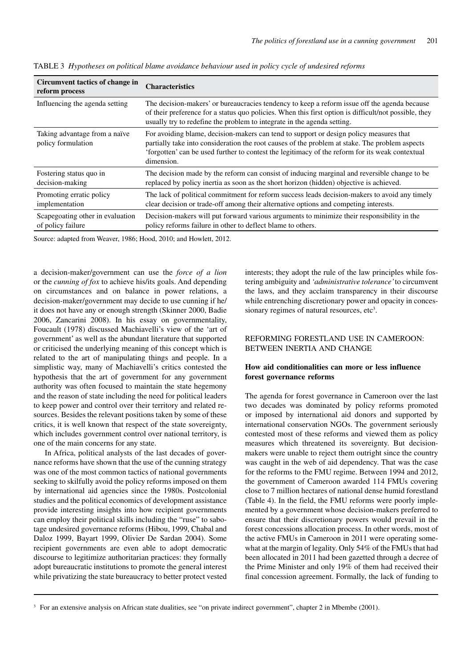| Circumvent tactics of change in<br>reform process   | <b>Characteristics</b>                                                                                                                                                                                                                                                                                    |
|-----------------------------------------------------|-----------------------------------------------------------------------------------------------------------------------------------------------------------------------------------------------------------------------------------------------------------------------------------------------------------|
| Influencing the agenda setting                      | The decision-makers' or bureaucracies tendency to keep a reform issue off the agenda because<br>of their preference for a status quo policies. When this first option is difficult/not possible, they<br>usually try to redefine the problem to integrate in the agenda setting.                          |
| Taking advantage from a naïve<br>policy formulation | For avoiding blame, decision-makers can tend to support or design policy measures that<br>partially take into consideration the root causes of the problem at stake. The problem aspects<br>'forgotten' can be used further to contest the legitimacy of the reform for its weak contextual<br>dimension. |
| Fostering status quo in                             | The decision made by the reform can consist of inducing marginal and reversible change to be                                                                                                                                                                                                              |
| decision-making                                     | replaced by policy inertia as soon as the short horizon (hidden) objective is achieved.                                                                                                                                                                                                                   |
| Promoting erratic policy                            | The lack of political commitment for reform success leads decision-makers to avoid any timely                                                                                                                                                                                                             |
| implementation                                      | clear decision or trade-off among their alternative options and competing interests.                                                                                                                                                                                                                      |
| Scapegoating other in evaluation                    | Decision-makers will put forward various arguments to minimize their responsibility in the                                                                                                                                                                                                                |
| of policy failure                                   | policy reforms failure in other to deflect blame to others.                                                                                                                                                                                                                                               |

Table 3 *Hypotheses on political blame avoidance behaviour used in policy cycle of undesired reforms* 

Source: adapted from Weaver, 1986; Hood, 2010; and Howlett, 2012.

a decision-maker/government can use the *force of a lion* or the *cunning of fox* to achieve his/its goals. And depending on circumstances and on balance in power relations, a decision-maker/government may decide to use cunning if he/ it does not have any or enough strength (Skinner 2000, Badie 2006, Zancarini 2008). In his essay on governmentality, Foucault (1978) discussed Machiavelli's view of the 'art of government' as well as the abundant literature that supported or criticised the underlying meaning of this concept which is related to the art of manipulating things and people. In a simplistic way, many of Machiavelli's critics contested the hypothesis that the art of government for any government authority was often focused to maintain the state hegemony and the reason of state including the need for political leaders to keep power and control over their territory and related resources. Besides the relevant positions taken by some of these critics, it is well known that respect of the state sovereignty, which includes government control over national territory, is one of the main concerns for any state.

In Africa, political analysts of the last decades of governance reforms have shown that the use of the cunning strategy was one of the most common tactics of national governments seeking to skilfully avoid the policy reforms imposed on them by international aid agencies since the 1980s. Postcolonial studies and the political economics of development assistance provide interesting insights into how recipient governments can employ their political skills including the "ruse" to sabotage undesired governance reforms (Hibou, 1999, Chabal and Daloz 1999, Bayart 1999, Olivier De Sardan 2004). Some recipient governments are even able to adopt democratic discourse to legitimize authoritarian practices: they formally adopt bureaucratic institutions to promote the general interest while privatizing the state bureaucracy to better protect vested interests; they adopt the rule of the law principles while fostering ambiguity and *'administrative tolerance'* to circumvent the laws, and they acclaim transparency in their discourse while entrenching discretionary power and opacity in concessionary regimes of natural resources,  $etc<sup>3</sup>$ .

## REFORMING FORESTLAND USE IN CAMEROON: BETWEEN INERTIA AND CHANGE

## **How aid conditionalities can more or less influence forest governance reforms**

The agenda for forest governance in Cameroon over the last two decades was dominated by policy reforms promoted or imposed by international aid donors and supported by international conservation NGOs. The government seriously contested most of these reforms and viewed them as policy measures which threatened its sovereignty. But decisionmakers were unable to reject them outright since the country was caught in the web of aid dependency. That was the case for the reforms to the FMU regime. Between 1994 and 2012, the government of Cameroon awarded 114 FMUs covering close to 7 million hectares of national dense humid forestland (Table 4). In the field, the FMU reforms were poorly implemented by a government whose decision-makers preferred to ensure that their discretionary powers would prevail in the forest concessions allocation process. In other words, most of the active FMUs in Cameroon in 2011 were operating somewhat at the margin of legality. Only 54% of the FMUs that had been allocated in 2011 had been gazetted through a decree of the Prime Minister and only 19% of them had received their final concession agreement. Formally, the lack of funding to

<sup>&</sup>lt;sup>3</sup> For an extensive analysis on African state dualities, see "on private indirect government", chapter 2 in Mbembe (2001).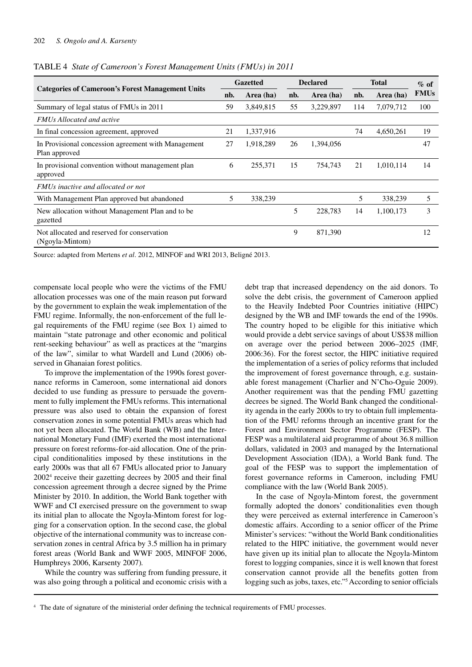| <b>Categories of Cameroon's Forest Management Units</b>              |  | <b>Gazetted</b> |     | <b>Declared</b> |     | <b>Total</b> |             |
|----------------------------------------------------------------------|--|-----------------|-----|-----------------|-----|--------------|-------------|
|                                                                      |  | Area (ha)       | nb. | Area (ha)       | nb. | Area (ha)    | <b>FMUs</b> |
| Summary of legal status of FMUs in 2011                              |  | 3,849,815       | 55  | 3,229,897       | 114 | 7,079,712    | 100         |
| <b>FMUs Allocated and active</b>                                     |  |                 |     |                 |     |              |             |
| In final concession agreement, approved                              |  | 1,337,916       |     |                 | 74  | 4,650,261    | 19          |
| In Provisional concession agreement with Management<br>Plan approved |  | 1,918,289       | 26  | 1,394,056       |     |              | 47          |
| In provisional convention without management plan<br>approved        |  | 255,371         | 15  | 754,743         | 21  | 1,010,114    | 14          |
| FMUs inactive and allocated or not                                   |  |                 |     |                 |     |              |             |
| With Management Plan approved but abandoned                          |  | 338,239         |     |                 | 5   | 338,239      | 5           |
| New allocation without Management Plan and to be<br>gazetted         |  |                 | 5   | 228,783         | 14  | 1,100,173    | 3           |
| Not allocated and reserved for conservation<br>(Ngoyla-Mintom)       |  |                 | 9   | 871,390         |     |              | 12          |

Table 4 *State of Cameroon's Forest Management Units (FMUs) in 2011*

Source: adapted from Mertens *et al*. 2012, MINFOF and WRI 2013, Beligné 2013.

compensate local people who were the victims of the FMU allocation processes was one of the main reason put forward by the government to explain the weak implementation of the FMU regime. Informally, the non-enforcement of the full legal requirements of the FMU regime (see Box 1) aimed to maintain "state patronage and other economic and political rent-seeking behaviour" as well as practices at the "margins of the law", similar to what Wardell and Lund (2006) observed in Ghanaian forest politics.

To improve the implementation of the 1990s forest governance reforms in Cameroon, some international aid donors decided to use funding as pressure to persuade the government to fully implement the FMUs reforms. This international pressure was also used to obtain the expansion of forest conservation zones in some potential FMUs areas which had not yet been allocated. The World Bank (WB) and the International Monetary Fund (IMF) exerted the most international pressure on forest reforms-for-aid allocation. One of the principal conditionalities imposed by these institutions in the early 2000s was that all 67 FMUs allocated prior to January 20024 receive their gazetting decrees by 2005 and their final concession agreement through a decree signed by the Prime Minister by 2010. In addition, the World Bank together with WWF and CI exercised pressure on the government to swap its initial plan to allocate the Ngoyla-Mintom forest for logging for a conservation option. In the second case, the global objective of the international community was to increase conservation zones in central Africa by 3.5 million ha in primary forest areas (World Bank and WWF 2005, MINFOF 2006, Humphreys 2006, Karsenty 2007)*.* 

While the country was suffering from funding pressure, it was also going through a political and economic crisis with a debt trap that increased dependency on the aid donors. To solve the debt crisis, the government of Cameroon applied to the Heavily Indebted Poor Countries initiative (HIPC) designed by the WB and IMF towards the end of the 1990s. The country hoped to be eligible for this initiative which would provide a debt service savings of about US\$38 million on average over the period between 2006–2025 (IMF, 2006:36). For the forest sector, the HIPC initiative required the implementation of a series of policy reforms that included the improvement of forest governance through, e.g. sustainable forest management (Charlier and N'Cho-Oguie 2009). Another requirement was that the pending FMU gazetting decrees be signed. The World Bank changed the conditionality agenda in the early 2000s to try to obtain full implementation of the FMU reforms through an incentive grant for the Forest and Environment Sector Programme (FESP). The FESP was a multilateral aid programme of about 36.8 million dollars, validated in 2003 and managed by the International Development Association (IDA), a World Bank fund. The goal of the FESP was to support the implementation of forest governance reforms in Cameroon, including FMU compliance with the law (World Bank 2005).

In the case of Ngoyla-Mintom forest, the government formally adopted the donors' conditionalities even though they were perceived as external interference in Cameroon's domestic affairs. According to a senior officer of the Prime Minister's services: "without the World Bank conditionalities related to the HIPC initiative, the government would never have given up its initial plan to allocate the Ngoyla-Mintom forest to logging companies, since it is well known that forest conservation cannot provide all the benefits gotten from logging such as jobs, taxes, etc."5 According to senior officials

<sup>&</sup>lt;sup>4</sup> The date of signature of the ministerial order defining the technical requirements of FMU processes.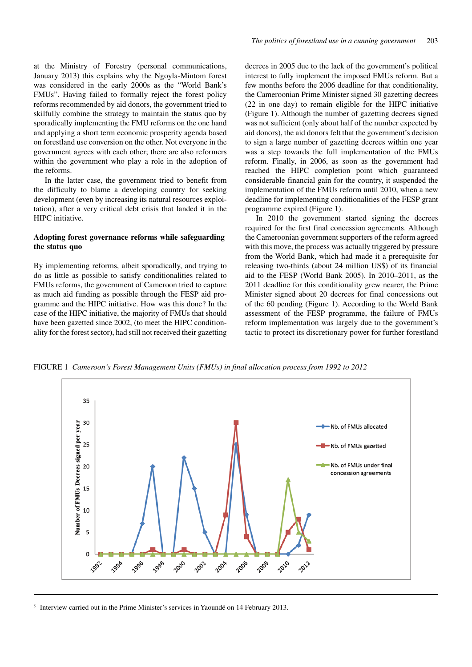at the Ministry of Forestry (personal communications, January 2013) this explains why the Ngoyla-Mintom forest was considered in the early 2000s as the "World Bank's FMUs". Having failed to formally reject the forest policy reforms recommended by aid donors, the government tried to skilfully combine the strategy to maintain the status quo by sporadically implementing the FMU reforms on the one hand and applying a short term economic prosperity agenda based on forestland use conversion on the other. Not everyone in the government agrees with each other; there are also reformers within the government who play a role in the adoption of the reforms.

In the latter case, the government tried to benefit from the difficulty to blame a developing country for seeking development (even by increasing its natural resources exploitation), after a very critical debt crisis that landed it in the HIPC initiative.

## **Adopting forest governance reforms while safeguarding the status quo**

By implementing reforms, albeit sporadically, and trying to do as little as possible to satisfy conditionalities related to FMUs reforms, the government of Cameroon tried to capture as much aid funding as possible through the FESP aid programme and the HIPC initiative. How was this done? In the case of the HIPC initiative, the majority of FMUs that should have been gazetted since 2002, (to meet the HIPC conditionality for the forest sector), had still not received their gazetting decrees in 2005 due to the lack of the government's political interest to fully implement the imposed FMUs reform. But a few months before the 2006 deadline for that conditionality, the Cameroonian Prime Minister signed 30 gazetting decrees (22 in one day) to remain eligible for the HIPC initiative (Figure 1). Although the number of gazetting decrees signed was not sufficient (only about half of the number expected by aid donors), the aid donors felt that the government's decision to sign a large number of gazetting decrees within one year was a step towards the full implementation of the FMUs reform. Finally, in 2006, as soon as the government had reached the HIPC completion point which guaranteed considerable financial gain for the country, it suspended the implementation of the FMUs reform until 2010, when a new deadline for implementing conditionalities of the FESP grant programme expired (Figure 1).

In 2010 the government started signing the decrees required for the first final concession agreements. Although the Cameroonian government supporters of the reform agreed with this move, the process was actually triggered by pressure from the World Bank, which had made it a prerequisite for releasing two-thirds (about 24 million US\$) of its financial aid to the FESP (World Bank 2005). In 2010–2011, as the 2011 deadline for this conditionality grew nearer, the Prime Minister signed about 20 decrees for final concessions out of the 60 pending (Figure 1). According to the World Bank assessment of the FESP programme, the failure of FMUs reform implementation was largely due to the government's tactic to protect its discretionary power for further forestland

Figure 1 *Cameroon's Forest Management Units (FMUs) in final allocation process from 1992 to 2012*



<sup>5</sup> Interview carried out in the Prime Minister's services in Yaoundé on 14 February 2013.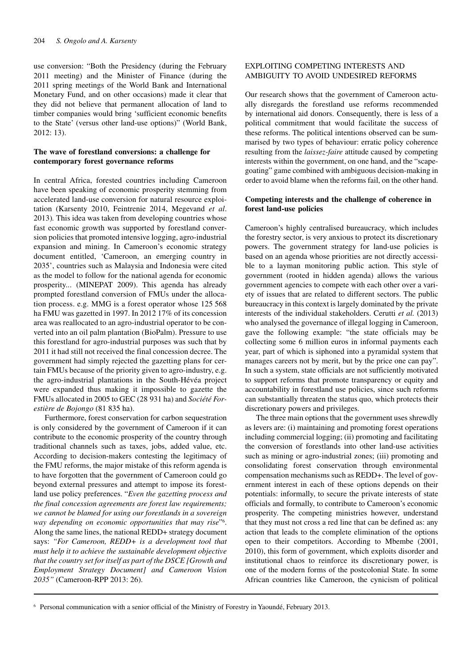use conversion: "Both the Presidency (during the February 2011 meeting) and the Minister of Finance (during the 2011 spring meetings of the World Bank and International Monetary Fund, and on other occasions) made it clear that they did not believe that permanent allocation of land to timber companies would bring 'sufficient economic benefits to the State' (versus other land-use options)" (World Bank, 2012: 13).

## **The wave of forestland conversions: a challenge for contemporary forest governance reforms**

In central Africa, forested countries including Cameroon have been speaking of economic prosperity stemming from accelerated land-use conversion for natural resource exploitation (Karsenty 2010, Feintrenie 2014, Megevand *et al*. 2013)*.* This idea was taken from developing countries whose fast economic growth was supported by forestland conversion policies that promoted intensive logging, agro-industrial expansion and mining. In Cameroon's economic strategy document entitled, 'Cameroon, an emerging country in 2035', countries such as Malaysia and Indonesia were cited as the model to follow for the national agenda for economic prosperity... (MINEPAT 2009). This agenda has already prompted forestland conversion of FMUs under the allocation process. e.g. MMG is a forest operator whose 125 568 ha FMU was gazetted in 1997. In 2012 17% of its concession area was reallocated to an agro-industrial operator to be converted into an oil palm plantation (BioPalm). Pressure to use this forestland for agro-industrial purposes was such that by 2011 it had still not received the final concession decree. The government had simply rejected the gazetting plans for certain FMUs because of the priority given to agro-industry, e.g. the agro-industrial plantations in the South-Hévéa project were expanded thus making it impossible to gazette the FMUs allocated in 2005 to GEC (28 931 ha) and *Société Forestière de Bojongo* (81 835 ha).

Furthermore, forest conservation for carbon sequestration is only considered by the government of Cameroon if it can contribute to the economic prosperity of the country through traditional channels such as taxes, jobs, added value, etc. According to decision-makers contesting the legitimacy of the FMU reforms, the major mistake of this reform agenda is to have forgotten that the government of Cameroon could go beyond external pressures and attempt to impose its forestland use policy preferences. "*Even the gazetting process and the final concession agreements are forest law requirements; we cannot be blamed for using our forestlands in a sovereign way depending on economic opportunities that may rise*"6 . Along the same lines, the national REDD+ strategy document says: *"For Cameroon, REDD+ is a development tool that must help it to achieve the sustainable development objective that the country set for itself as part of the DSCE [Growth and Employment Strategy Document] and Cameroon Vision 2035"* (Cameroon-RPP 2013: 26).

## EXPLOITING COMPETING INTERESTS AND AMBIGUITY TO AVOID UNDESIRED REFORMS

Our research shows that the government of Cameroon actually disregards the forestland use reforms recommended by international aid donors. Consequently, there is less of a political commitment that would facilitate the success of these reforms. The political intentions observed can be summarised by two types of behaviour: erratic policy coherence resulting from the *laissez-faire* attitude caused by competing interests within the government, on one hand, and the "scapegoating" game combined with ambiguous decision-making in order to avoid blame when the reforms fail, on the other hand.

## **Competing interests and the challenge of coherence in forest land-use policies**

Cameroon's highly centralised bureaucracy, which includes the forestry sector, is very anxious to protect its discretionary powers. The government strategy for land-use policies is based on an agenda whose priorities are not directly accessible to a layman monitoring public action. This style of government (rooted in hidden agenda) allows the various government agencies to compete with each other over a variety of issues that are related to different sectors. The public bureaucracy in this context is largely dominated by the private interests of the individual stakeholders. Cerutti *et al.* (2013) who analysed the governance of illegal logging in Cameroon, gave the following example: "the state officials may be collecting some 6 million euros in informal payments each year, part of which is siphoned into a pyramidal system that manages careers not by merit, but by the price one can pay". In such a system, state officials are not sufficiently motivated to support reforms that promote transparency or equity and accountability in forestland use policies, since such reforms can substantially threaten the status quo, which protects their discretionary powers and privileges.

The three main options that the government uses shrewdly as levers are: (i) maintaining and promoting forest operations including commercial logging; (ii) promoting and facilitating the conversion of forestlands into other land-use activities such as mining or agro-industrial zones; (iii) promoting and consolidating forest conservation through environmental compensation mechanisms such as REDD+. The level of government interest in each of these options depends on their potentials: informally, to secure the private interests of state officials and formally, to contribute to Cameroon's economic prosperity. The competing ministries however, understand that they must not cross a red line that can be defined as: any action that leads to the complete elimination of the options open to their competitors. According to Mbembe (2001, 2010), this form of government, which exploits disorder and institutional chaos to reinforce its discretionary power, is one of the modern forms of the postcolonial State. In some African countries like Cameroon, the cynicism of political

<sup>6</sup> Personal communication with a senior official of the Ministry of Forestry in Yaoundé, February 2013.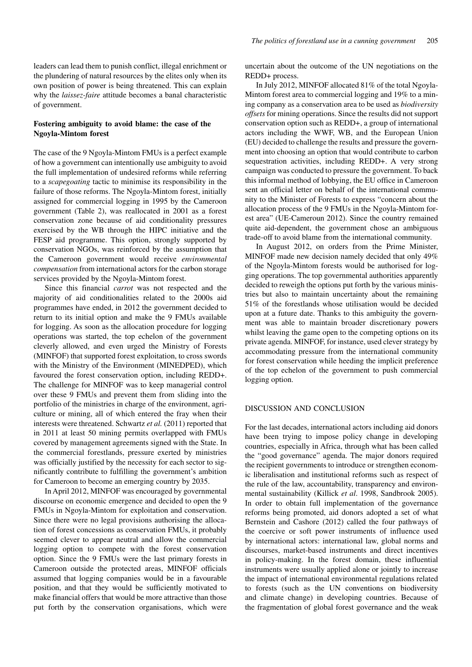leaders can lead them to punish conflict, illegal enrichment or the plundering of natural resources by the elites only when its own position of power is being threatened. This can explain why the *laissez-faire* attitude becomes a banal characteristic of government.

## **Fostering ambiguity to avoid blame: the case of the Ngoyla-Mintom forest**

The case of the 9 Ngoyla-Mintom FMUs is a perfect example of how a government can intentionally use ambiguity to avoid the full implementation of undesired reforms while referring to a *scapegoating* tactic to minimise its responsibility in the failure of those reforms. The Ngoyla-Mintom forest, initially assigned for commercial logging in 1995 by the Cameroon government (Table 2), was reallocated in 2001 as a forest conservation zone because of aid conditionality pressures exercised by the WB through the HIPC initiative and the FESP aid programme. This option, strongly supported by conservation NGOs, was reinforced by the assumption that the Cameroon government would receive *environmental compensation* from international actors for the carbon storage services provided by the Ngoyla-Mintom forest.

Since this financial *carrot* was not respected and the majority of aid conditionalities related to the 2000s aid programmes have ended, in 2012 the government decided to return to its initial option and make the 9 FMUs available for logging. As soon as the allocation procedure for logging operations was started, the top echelon of the government cleverly allowed, and even urged the Ministry of Forests (MINFOF) that supported forest exploitation, to cross swords with the Ministry of the Environment (MINEDPED), which favoured the forest conservation option, including REDD+. The challenge for MINFOF was to keep managerial control over these 9 FMUs and prevent them from sliding into the portfolio of the ministries in charge of the environment, agriculture or mining, all of which entered the fray when their interests were threatened. Schwartz *et al.* (2011) reported that in 2011 at least 50 mining permits overlapped with FMUs covered by management agreements signed with the State. In the commercial forestlands, pressure exerted by ministries was officially justified by the necessity for each sector to significantly contribute to fulfilling the government's ambition for Cameroon to become an emerging country by 2035.

In April 2012, MINFOF was encouraged by governmental discourse on economic emergence and decided to open the 9 FMUs in Ngoyla-Mintom for exploitation and conservation. Since there were no legal provisions authorising the allocation of forest concessions as conservation FMUs, it probably seemed clever to appear neutral and allow the commercial logging option to compete with the forest conservation option. Since the 9 FMUs were the last primary forests in Cameroon outside the protected areas, MINFOF officials assumed that logging companies would be in a favourable position, and that they would be sufficiently motivated to make financial offers that would be more attractive than those put forth by the conservation organisations, which were uncertain about the outcome of the UN negotiations on the REDD+ process.

In July 2012, MINFOF allocated 81% of the total Ngoyla-Mintom forest area to commercial logging and 19% to a mining company as a conservation area to be used as *biodiversity offsets* for mining operations. Since the results did not support conservation option such as REDD+, a group of international actors including the WWF, WB, and the European Union (EU) decided to challenge the results and pressure the government into choosing an option that would contribute to carbon sequestration activities, including REDD+. A very strong campaign was conducted to pressure the government. To back this informal method of lobbying, the EU office in Cameroon sent an official letter on behalf of the international community to the Minister of Forests to express "concern about the allocation process of the 9 FMUs in the Ngoyla-Mintom forest area" (UE-Cameroun 2012). Since the country remained quite aid-dependent, the government chose an ambiguous trade-off to avoid blame from the international community.

In August 2012, on orders from the Prime Minister, MINFOF made new decision namely decided that only 49% of the Ngoyla-Mintom forests would be authorised for logging operations. The top governmental authorities apparently decided to reweigh the options put forth by the various ministries but also to maintain uncertainty about the remaining 51% of the forestlands whose utilisation would be decided upon at a future date. Thanks to this ambiguity the government was able to maintain broader discretionary powers whilst leaving the game open to the competing options on its private agenda. MINFOF, for instance, used clever strategy by accommodating pressure from the international community for forest conservation while heeding the implicit preference of the top echelon of the government to push commercial logging option.

#### DISCUSSION AND CONCLUSION

For the last decades, international actors including aid donors have been trying to impose policy change in developing countries, especially in Africa, through what has been called the "good governance" agenda. The major donors required the recipient governments to introduce or strengthen economic liberalisation and institutional reforms such as respect of the rule of the law, accountability, transparency and environmental sustainability (Killick *et al*. 1998, Sandbrook 2005). In order to obtain full implementation of the governance reforms being promoted, aid donors adopted a set of what Bernstein and Cashore (2012) called the four pathways of the coercive or soft power instruments of influence used by international actors: international law, global norms and discourses, market-based instruments and direct incentives in policy-making. In the forest domain, these influential instruments were usually applied alone or jointly to increase the impact of international environmental regulations related to forests (such as the UN conventions on biodiversity and climate change) in developing countries. Because of the fragmentation of global forest governance and the weak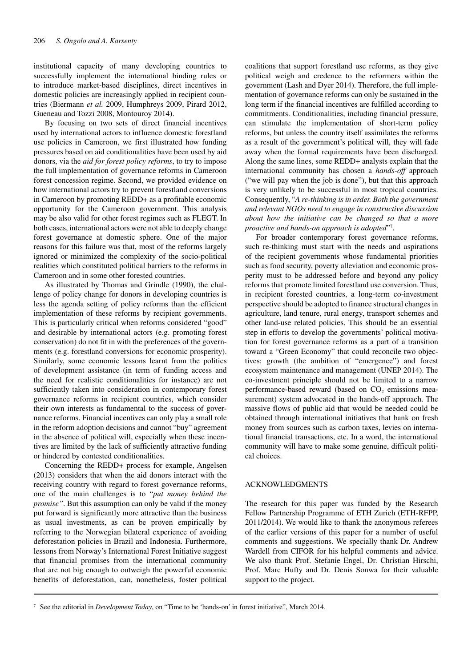institutional capacity of many developing countries to successfully implement the international binding rules or to introduce market-based disciplines, direct incentives in domestic policies are increasingly applied in recipient countries (Biermann *et al.* 2009, Humphreys 2009, Pirard 2012, Gueneau and Tozzi 2008, Montouroy 2014).

By focusing on two sets of direct financial incentives used by international actors to influence domestic forestland use policies in Cameroon, we first illustrated how funding pressures based on aid conditionalities have been used by aid donors, via the *aid for forest policy reforms*, to try to impose the full implementation of governance reforms in Cameroon forest concession regime. Second, we provided evidence on how international actors try to prevent forestland conversions in Cameroon by promoting REDD+ as a profitable economic opportunity for the Cameroon government. This analysis may be also valid for other forest regimes such as FLEGT. In both cases, international actors were not able to deeply change forest governance at domestic sphere. One of the major reasons for this failure was that, most of the reforms largely ignored or minimized the complexity of the socio-political realities which constituted political barriers to the reforms in Cameroon and in some other forested countries.

As illustrated by Thomas and Grindle (1990), the challenge of policy change for donors in developing countries is less the agenda setting of policy reforms than the efficient implementation of these reforms by recipient governments. This is particularly critical when reforms considered "good" and desirable by international actors (e.g. promoting forest conservation) do not fit in with the preferences of the governments (e.g. forestland conversions for economic prosperity). Similarly, some economic lessons learnt from the politics of development assistance (in term of funding access and the need for realistic conditionalities for instance) are not sufficiently taken into consideration in contemporary forest governance reforms in recipient countries, which consider their own interests as fundamental to the success of governance reforms. Financial incentives can only play a small role in the reform adoption decisions and cannot "buy" agreement in the absence of political will, especially when these incentives are limited by the lack of sufficiently attractive funding or hindered by contested conditionalities.

Concerning the REDD+ process for example, Angelsen (2013) considers that when the aid donors interact with the receiving country with regard to forest governance reforms, one of the main challenges is to "*put money behind the promise"*. But this assumption can only be valid if the money put forward is significantly more attractive than the business as usual investments, as can be proven empirically by referring to the Norwegian bilateral experience of avoiding deforestation policies in Brazil and Indonesia. Furthermore, lessons from Norway's International Forest Initiative suggest that financial promises from the international community that are not big enough to outweigh the powerful economic benefits of deforestation, can, nonetheless, foster political

coalitions that support forestland use reforms, as they give political weigh and credence to the reformers within the government (Lash and Dyer 2014). Therefore, the full implementation of governance reforms can only be sustained in the long term if the financial incentives are fulfilled according to commitments. Conditionalities, including financial pressure, can stimulate the implementation of short-term policy reforms, but unless the country itself assimilates the reforms as a result of the government's political will, they will fade away when the formal requirements have been discharged. Along the same lines, some REDD+ analysts explain that the international community has chosen a *hands-off* approach ("we will pay when the job is done"), but that this approach is very unlikely to be successful in most tropical countries. Consequently, "*A re-thinking is in order. Both the government and relevant NGOs need to engage in constructive discussion about how the initiative can be changed so that a more proactive and hands-on approach is adopted*"7 .

For broader contemporary forest governance reforms, such re-thinking must start with the needs and aspirations of the recipient governments whose fundamental priorities such as food security, poverty alleviation and economic prosperity must to be addressed before and beyond any policy reforms that promote limited forestland use conversion. Thus, in recipient forested countries, a long-term co-investment perspective should be adopted to finance structural changes in agriculture, land tenure, rural energy, transport schemes and other land-use related policies. This should be an essential step in efforts to develop the governments' political motivation for forest governance reforms as a part of a transition toward a "Green Economy" that could reconcile two objectives: growth (the ambition of "emergence") and forest ecosystem maintenance and management (UNEP 2014). The co-investment principle should not be limited to a narrow performance-based reward (based on  $CO<sub>2</sub>$  emissions measurement) system advocated in the hands-off approach. The massive flows of public aid that would be needed could be obtained through international initiatives that bank on fresh money from sources such as carbon taxes, levies on international financial transactions, etc. In a word, the international community will have to make some genuine, difficult political choices.

#### ACKNOWLEDGMENTS

The research for this paper was funded by the Research Fellow Partnership Programme of ETH Zurich (ETH-RFPP, 2011/2014). We would like to thank the anonymous referees of the earlier versions of this paper for a number of useful comments and suggestions. We specially thank Dr. Andrew Wardell from CIFOR for his helpful comments and advice. We also thank Prof. Stefanie Engel, Dr. Christian Hirschi, Prof. Marc Hufty and Dr. Denis Sonwa for their valuable support to the project.

<sup>7</sup> See the editorial in *Development Today*, on "Time to be 'hands-on' in forest initiative", March 2014.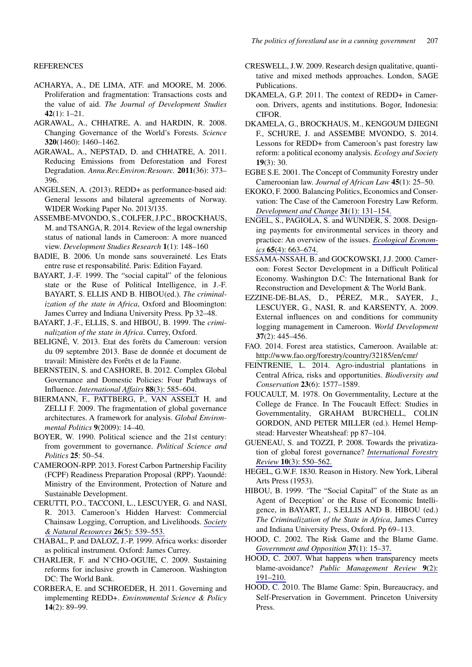#### **REFERENCES**

- ACHARYA, A., DE LIMA, ATF. and MOORE, M. 2006. Proliferation and fragmentation: Transactions costs and the value of aid. *The Journal of Development Studies* **42**(1): 1–21.
- AGRAWAL, A., CHHATRE, A. and HARDIN, R. 2008. Changing Governance of the World's Forests. *Science*  **320**(1460): 1460–1462.
- AGRAWAL, A., NEPSTAD, D. and CHHATRE, A. 2011. Reducing Emissions from Deforestation and Forest Degradation. *Annu.Rev.Environ:Resourc.* **2011**(36): 373– 396.
- ANGELSEN, A. (2013). REDD+ as performance-based aid: General lessons and bilateral agreements of Norway. WIDER Working Paper No. 2013/135.
- ASSEMBE-MVONDO, S., COLFER, J.P.C., BROCKHAUS, M. and TSANGA, R. 2014. Review of the legal ownership status of national lands in Cameroon: A more nuanced view. *Development Studies Research* **1**(1): 148–160
- BADIE, B. 2006. Un monde sans souveraineté. Les Etats entre ruse et responsabilité. Paris: Edition Fayard.
- BAYART, J.-F. 1999. The "social capital" of the felonious state or the Ruse of Political Intelligence, in J.-F. BAYART, S. ELLIS AND B. HIBOU(ed.). *The criminalization of the state in Africa*, Oxford and Bloomington: James Currey and Indiana University Press. Pp 32–48.
- BAYART, J.-F., ELLIS, S. and HIBOU, B. 1999. The *criminalization of the state in Africa*. Currey, Oxford.
- BELIGNÉ, V. 2013. Etat des forêts du Cameroun: version du 09 septembre 2013. Base de donnée et document de travail: Ministère des Forêts et de la Faune.
- BERNSTEIN, S. and CASHORE, B. 2012. Complex Global Governance and Domestic Policies: Four Pathways of Influence. *[International Affairs](http://www.ingentaconnect.com/content/external-references?article=0020-5850()88:3L.585[aid=10595309])* **[88](http://www.ingentaconnect.com/content/external-references?article=0020-5850()88:3L.585[aid=10595309])**[\(3\): 585–604.](http://www.ingentaconnect.com/content/external-references?article=0020-5850()88:3L.585[aid=10595309])
- BIERMANN, F., PATTBERG, P., VAN ASSELT H. and ZELLI F. 2009. The fragmentation of global governance architectures. A framework for analysis. *Global Environmental Politics* **9**(2009): 14–40.
- BOYER, W. 1990. Political science and the 21st century: from government to governance. *Political Science and Politics* **25**: 50–54.
- CAMEROON-RPP. 2013. Forest Carbon Partnership Facility (FCPF) Readiness Preparation Proposal (RPP). Yaoundé: Ministry of the Environment, Protection of Nature and Sustainable Development.
- CERUTTI, P.O., TACCONI, L., LESCUYER, G. and NASI, R. 2013. Cameroon's Hidden Harvest: Commercial Chainsaw Logging, Corruption, and Livelihoods. *[Society](http://www.ingentaconnect.com/content/external-references?article=0894-1920()26:5L.539[aid=10336245]) [& Natural Resources](http://www.ingentaconnect.com/content/external-references?article=0894-1920()26:5L.539[aid=10336245])* **26**(5): 539–553.
- CHABAL, P. and DALOZ, J.-P. 1999. Africa works: disorder as political instrument. Oxford: James Currey.
- CHARLIER, F. and N'CHO-OGUIE, C. 2009. Sustaining reforms for inclusive growth in Cameroon. Washington DC: The World Bank.
- CORBERA, E. and SCHROEDER, H. 2011. Governing and implementing REDD+. *Environmental Science & Policy*  **14**(2): 89–99.
- CRESWELL, J.W. 2009. Research design qualitative, quantitative and mixed methods approaches. London, SAGE Publications.
- DKAMELA, G.P. 2011. The context of REDD+ in Cameroon. Drivers, agents and institutions. Bogor, Indonesia: CIFOR.
- DKAMELA, G., BROCKHAUS, M., KENGOUM DJIEGNI F., SCHURE, J. and ASSEMBE MVONDO, S. 2014. Lessons for REDD+ from Cameroon's past forestry law reform: a political economy analysis. *Ecology and Society*  **19**(3): 30.
- EGBE S.E. 2001. The Concept of Community Forestry under Cameroonian law. *Journal of African Law* **45**(1): 25–50.
- EKOKO, F. 2000. Balancing Politics, Economics and Conservation: The Case of the Cameroon Forestry Law Reform. *[Development and Change](http://www.ingentaconnect.com/content/external-references?article=0012-155x()31:1L.131[aid=9496156])* **[31](http://www.ingentaconnect.com/content/external-references?article=0012-155x()31:1L.131[aid=9496156])**[\(1\): 131–154.](http://www.ingentaconnect.com/content/external-references?article=0012-155x()31:1L.131[aid=9496156])
- ENGEL, S., PAGIOLA, S. and WUNDER, S. 2008. Designing payments for environmental services in theory and practice: An overview of the issues. *[Ecological Econom](http://www.ingentaconnect.com/content/external-references?article=0921-8009()65:4L.663[aid=8961719])ics* **65**[\(4\): 663–674.](http://www.ingentaconnect.com/content/external-references?article=0921-8009()65:4L.663[aid=8961719])
- ESSAMA-NSSAH, B. and GOCKOWSKI, J.J. 2000. Cameroon: Forest Sector Development in a Difficult Political Economy. Washington D.C: The International Bank for Reconstruction and Development & The World Bank.
- EZZINE-DE-BLAS, D., PÉREZ, M.R., SAYER, J., LESCUYER, G., NASI, R. and KARSENTY, A. 2009. External influences on and conditions for community logging management in Cameroon. *World Development*  **37**(2): 445–456.
- FAO. 2014. Forest area statistics, Cameroon. Available at: <http://www.fao.org/forestry/country/32185/en/cmr/>
- FEINTRENIE, L. 2014. Agro-industrial plantations in Central Africa, risks and opportunities. *Biodiversity and Conservation* **23**(6): 1577–1589.
- FOUCAULT, M. 1978. On Governmentality, Lecture at the College de France. In The Foucault Effect: Studies in Governmentality, GRAHAM BURCHELL, COLIN GORDON, AND PETER MILLER (ed.). Hemel Hempstead: Harvester Wheatsheaf: pp 87–104.
- GUENEAU, S. and TOZZI, P. 2008. Towards the privatization of global forest governance? *[International Forestry](http://www.ingentaconnect.com/content/external-references?article=1465-5489()10:3L.550[aid=10595304])  Review* **10**[\(3\): 550–562.](http://www.ingentaconnect.com/content/external-references?article=1465-5489()10:3L.550[aid=10595304])
- HEGEL, G.W.F. 1830. Reason in History. New York, Liberal Arts Press (1953).
- HIBOU, B. 1999. 'The "Social Capital" of the State as an Agent of Deception' or the Ruse of Economic Intelligence, in BAYART, J., S.ELLIS AND B. HIBOU (ed.) *The Criminalization of the State in Africa*, James Currey and Indiana University Press, Oxford. Pp 69–113.
- HOOD, C. 2002. The Risk Game and the Blame Game. *[Government and Opposition](http://www.ingentaconnect.com/content/external-references?article=0017-257x()37:1L.15[aid=10595303])* **[37](http://www.ingentaconnect.com/content/external-references?article=0017-257x()37:1L.15[aid=10595303])**[\(1\): 15–37.](http://www.ingentaconnect.com/content/external-references?article=0017-257x()37:1L.15[aid=10595303])
- HOOD, C. 2007. What happens when transparency meets blame-avoidance? *[Public Management Review](http://www.ingentaconnect.com/content/external-references?article=1471-9037()9:2L.191[aid=10595302])* **9**(2): [191–210.](http://www.ingentaconnect.com/content/external-references?article=1471-9037()9:2L.191[aid=10595302])
- HOOD, C. 2010. The Blame Game: Spin, Bureaucracy, and Self-Preservation in Government. Princeton University Press.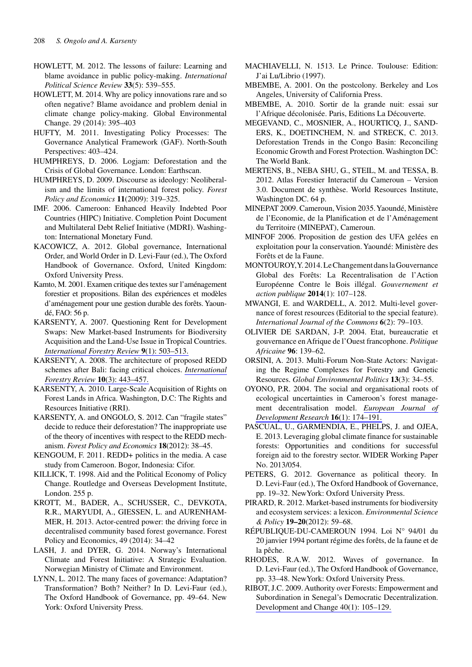- HOWLETT, M. 2012. The lessons of failure: Learning and blame avoidance in public policy-making. *International Political Science Review* **33**(5): 539–555.
- HOWLETT, M. 2014. Why are policy innovations rare and so often negative? Blame avoidance and problem denial in climate change policy-making. Global Environmental Change. 29 (2014): 395–403
- HUFTY, M. 2011. Investigating Policy Processes: The Governance Analytical Framework (GAF). North-South Perspectives: 403–424.
- HUMPHREYS, D. 2006. Logjam: Deforestation and the Crisis of Global Governance. London: Earthscan.
- HUMPHREYS, D. 2009. Discourse as ideology: Neoliberalism and the limits of international forest policy. *Forest Policy and Economics* **11**(2009): 319–325.
- IMF. 2006. Cameroon: Enhanced Heavily Indebted Poor Countries (HIPC) Initiative. Completion Point Document and Multilateral Debt Relief Initiative (MDRI). Washington: International Monetary Fund.
- KACOWICZ, A. 2012. Global governance, International Order, and World Order in D. Levi-Faur (ed.), The Oxford Handbook of Governance. Oxford, United Kingdom: Oxford University Press.
- Kamto, M. 2001. Examen critique des textes sur l'aménagement forestier et propositions. Bilan des expériences et modèles d'aménagement pour une gestion durable des forêts. Yaoundé, FAO: 56 p.
- KARSENTY, A. 2007. Questioning Rent for Development Swaps: New Market-based Instruments for Biodiversity Acquisition and the Land-Use Issue in Tropical Countries. *[International Forestry Review](http://www.ingentaconnect.com/content/external-references?article=1465-5489()9:1L.503[aid=8877701])* **9**(1): 503–513.
- KARSENTY, A. 2008. The architecture of proposed REDD schemes after Bali: facing critical choices. *[International](http://www.ingentaconnect.com/content/external-references?article=1465-5489()10:3L.443[aid=9136322]) [Forestry Review](http://www.ingentaconnect.com/content/external-references?article=1465-5489()10:3L.443[aid=9136322])* **10**(3): 443–457.
- KARSENTY, A. 2010. Large-Scale Acquisition of Rights on Forest Lands in Africa. Washington, D.C: The Rights and Resources Initiative (RRI).
- KARSENTY, A. and ONGOLO, S. 2012. Can "fragile states" decide to reduce their deforestation? The inappropriate use of the theory of incentives with respect to the REDD mechanism. *Forest Policy and Economics* **18**(2012): 38–45.
- KENGOUM, F. 2011. REDD+ politics in the media. A case study from Cameroon. Bogor, Indonesia: Cifor.
- KILLICK, T. 1998. Aid and the Political Economy of Policy Change. Routledge and Overseas Development Institute, London. 255 p.
- KROTT, M., BADER, A., SCHUSSER, C., DEVKOTA, R.R., MARYUDI, A., GIESSEN, L. and AURENHAM-MER, H. 2013. Actor-centred power: the driving force in decentralised community based forest governance. Forest Policy and Economics, 49 (2014): 34–42
- LASH, J. and DYER, G. 2014. Norway's International Climate and Forest Initiative: A Strategic Evaluation. Norwegian Ministry of Climate and Environment.
- LYNN, L. 2012. The many faces of governance: Adaptation? Transformation? Both? Neither? In D. Levi-Faur (ed.), The Oxford Handbook of Governance, pp. 49–64. New York: Oxford University Press.
- MACHIAVELLI, N. 1513. Le Prince. Toulouse: Edition: J'ai Lu/Librio (1997).
- MBEMBE, A. 2001. On the postcolony. Berkeley and Los Angeles, University of California Press.
- MBEMBE, A. 2010. Sortir de la grande nuit: essai sur l'Afrique décolonisée. Paris, Editions La Découverte.
- MEGEVAND, C., MOSNIER, A., HOURTICQ, J., SAND-ERS, K., DOETINCHEM, N. and STRECK, C. 2013. Deforestation Trends in the Congo Basin: Reconciling Economic Growth and Forest Protection. Washington DC: The World Bank.
- MERTENS, B., NEBA SHU, G., STEIL, M. and TESSA, B. 2012. Atlas Forestier Interactif du Cameroun – Version 3.0. Document de synthèse. World Resources Institute, Washington DC. 64 p.
- MINEPAT 2009. Cameroun, Vision 2035. Yaoundé, Ministère de l'Economie, de la Planification et de l'Aménagement du Territoire (MINEPAT), Cameroun.
- MINFOF 2006. Proposition de gestion des UFA gelées en exploitation pour la conservation. Yaoundé: Ministère des Forêts et de la Faune.
- MONTOUROY, Y. 2014. Le Changement dans la Gouvernance Global des Forêts: La Recentralisation de l'Action Européenne Contre le Bois illégal. *Gouvernement et action publique* **2014**(1): 107–128.
- MWANGI, E. and WARDELL, A. 2012. Multi-level governance of forest resources (Editorial to the special feature). *International Journal of the Commons* **6**(2): 79–103.
- OLIVIER DE SARDAN, J-P. 2004. Etat, bureaucratie et gouvernance en Afrique de l'Ouest francophone. *Politique Africaine* **96**: 139–62.
- ORSINI, A. 2013. Multi-Forum Non-State Actors: Navigating the Regime Complexes for Forestry and Genetic Resources. *Global Environmental Politics* **13**(3): 34–55.
- OYONO, P.R. 2004. The social and organisational roots of ecological uncertainties in Cameroon's forest management decentralisation model. *[European Journal of](http://www.ingentaconnect.com/content/external-references?article=0957-8811()16:1L.174[aid=9496161])  [Development Research](http://www.ingentaconnect.com/content/external-references?article=0957-8811()16:1L.174[aid=9496161])* **16**(1): 174–191.
- PASCUAL, U., GARMENDIA, E., PHELPS, J. and OJEA, E. 2013. Leveraging global climate finance for sustainable forests: Opportunities and conditions for successful foreign aid to the forestry sector. WIDER Working Paper No. 2013/054.
- PETERS, G. 2012. Governance as political theory. In D. Levi-Faur (ed.), The Oxford Handbook of Governance, pp. 19–32. NewYork: Oxford University Press.
- PIRARD, R. 2012. Market-based instruments for biodiversity and ecosystem services: a lexicon. *Environmental Science & Policy* **19–20**(2012): 59–68.
- RÉPUBLIQUE-DU-CAMEROUN 1994. Loi N° 94/01 du 20 janvier 1994 portant régime des forêts, de la faune et de la pêche.
- RHODES, R.A.W. 2012. Waves of governance. In D. Levi-Faur (ed.), The Oxford Handbook of Governance, pp. 33–48. NewYork: Oxford University Press.
- RIBOT, J.C. 2009. Authority over Forests: Empowerment and Subordination in Senegal's Democratic Decentralization. [Development and Change 40\(1\): 105–129.](http://www.ingentaconnect.com/content/external-references?article=0012-155x()40:1L.105[aid=10594844])